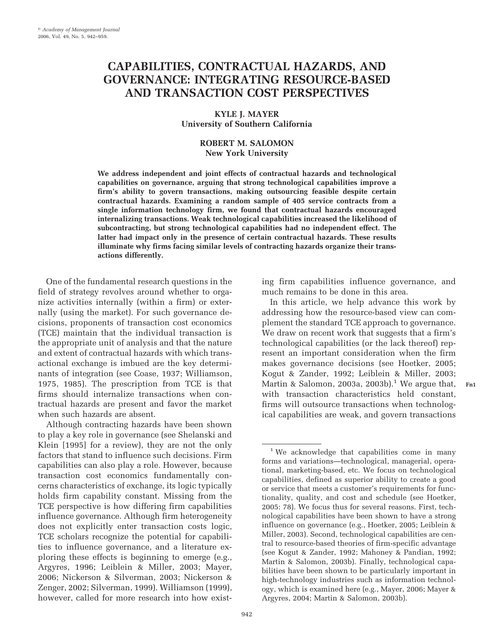# **CAPABILITIES, CONTRACTUAL HAZARDS, AND GOVERNANCE: INTEGRATING RESOURCE-BASED AND TRANSACTION COST PERSPECTIVES**

**KYLE J. MAYER University of Southern California**

# **ROBERT M. SALOMON New York University**

**We address independent and joint effects of contractual hazards and technological capabilities on governance, arguing that strong technological capabilities improve a firm's ability to govern transactions, making outsourcing feasible despite certain contractual hazards. Examining a random sample of 405 service contracts from a single information technology firm, we found that contractual hazards encouraged internalizing transactions. Weak technological capabilities increased the likelihood of subcontracting, but strong technological capabilities had no independent effect. The latter had impact only in the presence of certain contractual hazards. These results illuminate why firms facing similar levels of contracting hazards organize their transactions differently.**

One of the fundamental research questions in the field of strategy revolves around whether to organize activities internally (within a firm) or externally (using the market). For such governance decisions, proponents of transaction cost economics (TCE) maintain that the individual transaction is the appropriate unit of analysis and that the nature and extent of contractual hazards with which transactional exchange is imbued are the key determinants of integration (see Coase, 1937; Williamson, 1975, 1985). The prescription from TCE is that firms should internalize transactions when contractual hazards are present and favor the market when such hazards are absent.

Although contracting hazards have been shown to play a key role in governance (see Shelanski and Klein [1995] for a review), they are not the only factors that stand to influence such decisions. Firm capabilities can also play a role. However, because transaction cost economics fundamentally concerns characteristics of exchange, its logic typically holds firm capability constant. Missing from the TCE perspective is how differing firm capabilities influence governance. Although firm heterogeneity does not explicitly enter transaction costs logic, TCE scholars recognize the potential for capabilities to influence governance, and a literature exploring these effects is beginning to emerge (e.g., Argyres, 1996; Leiblein & Miller, 2003; Mayer, 2006; Nickerson & Silverman, 2003; Nickerson & Zenger, 2002; Silverman, 1999). Williamson (1999), however, called for more research into how existing firm capabilities influence governance, and much remains to be done in this area.

In this article, we help advance this work by addressing how the resource-based view can complement the standard TCE approach to governance. We draw on recent work that suggests that a firm's technological capabilities (or the lack thereof) represent an important consideration when the firm makes governance decisions (see Hoetker, 2005; Kogut & Zander, 1992; Leiblein & Miller, 2003; Martin & Salomon, 2003a, 2003b).<sup>1</sup> We argue that, with transaction characteristics held constant, firms will outsource transactions when technological capabilities are weak, and govern transactions

<sup>&</sup>lt;sup>1</sup> We acknowledge that capabilities come in many forms and variations—technological, managerial, operational, marketing-based, etc. We focus on technological capabilities, defined as superior ability to create a good or service that meets a customer's requirements for functionality, quality, and cost and schedule (see Hoetker, 2005: 78). We focus thus for several reasons. First, technological capabilities have been shown to have a strong influence on governance (e.g., Hoetker, 2005; Leiblein & Miller, 2003). Second, technological capabilities are central to resource-based theories of firm-specific advantage (see Kogut & Zander, 1992; Mahoney & Pandian, 1992; Martin & Salomon, 2003b). Finally, technological capabilities have been shown to be particularly important in high-technology industries such as information technology, which is examined here (e.g., Mayer, 2006; Mayer & Argyres, 2004; Martin & Salomon, 2003b).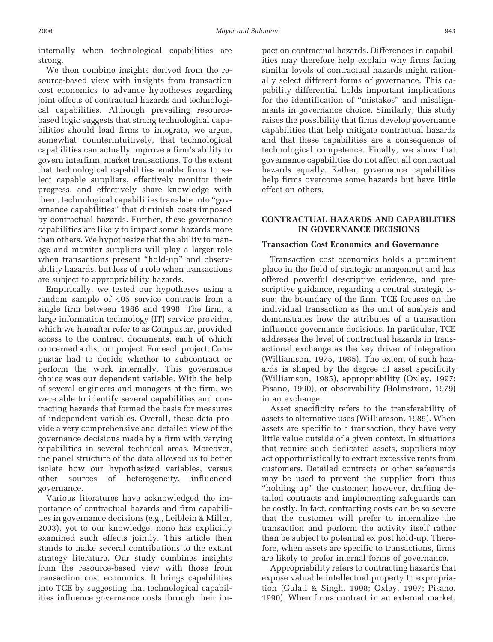internally when technological capabilities are strong.

We then combine insights derived from the resource-based view with insights from transaction cost economics to advance hypotheses regarding joint effects of contractual hazards and technological capabilities. Although prevailing resourcebased logic suggests that strong technological capabilities should lead firms to integrate, we argue, somewhat counterintuitively, that technological capabilities can actually improve a firm's ability to govern interfirm, market transactions. To the extent that technological capabilities enable firms to select capable suppliers, effectively monitor their progress, and effectively share knowledge with them, technological capabilities translate into "governance capabilities" that diminish costs imposed by contractual hazards. Further, these governance capabilities are likely to impact some hazards more than others. We hypothesize that the ability to manage and monitor suppliers will play a larger role when transactions present "hold-up" and observability hazards, but less of a role when transactions are subject to appropriability hazards.

Empirically, we tested our hypotheses using a random sample of 405 service contracts from a single firm between 1986 and 1998. The firm, a large information technology (IT) service provider, which we hereafter refer to as Compustar, provided access to the contract documents, each of which concerned a distinct project. For each project, Compustar had to decide whether to subcontract or perform the work internally. This governance choice was our dependent variable. With the help of several engineers and managers at the firm, we were able to identify several capabilities and contracting hazards that formed the basis for measures of independent variables. Overall, these data provide a very comprehensive and detailed view of the governance decisions made by a firm with varying capabilities in several technical areas. Moreover, the panel structure of the data allowed us to better isolate how our hypothesized variables, versus other sources of heterogeneity, influenced governance.

Various literatures have acknowledged the importance of contractual hazards and firm capabilities in governance decisions (e.g., Leiblein & Miller, 2003), yet to our knowledge, none has explicitly examined such effects jointly. This article then stands to make several contributions to the extant strategy literature. Our study combines insights from the resource-based view with those from transaction cost economics. It brings capabilities into TCE by suggesting that technological capabilities influence governance costs through their impact on contractual hazards. Differences in capabilities may therefore help explain why firms facing similar levels of contractual hazards might rationally select different forms of governance. This capability differential holds important implications for the identification of "mistakes" and misalignments in governance choice. Similarly, this study raises the possibility that firms develop governance capabilities that help mitigate contractual hazards and that these capabilities are a consequence of technological competence. Finally, we show that governance capabilities do not affect all contractual hazards equally. Rather, governance capabilities help firms overcome some hazards but have little effect on others.

# **CONTRACTUAL HAZARDS AND CAPABILITIES IN GOVERNANCE DECISIONS**

# **Transaction Cost Economics and Governance**

Transaction cost economics holds a prominent place in the field of strategic management and has offered powerful descriptive evidence, and prescriptive guidance, regarding a central strategic issue: the boundary of the firm. TCE focuses on the individual transaction as the unit of analysis and demonstrates how the attributes of a transaction influence governance decisions. In particular, TCE addresses the level of contractual hazards in transactional exchange as the key driver of integration (Williamson, 1975, 1985). The extent of such hazards is shaped by the degree of asset specificity (Williamson, 1985), appropriability (Oxley, 1997; Pisano, 1990), or observability (Holmstrom, 1979) in an exchange.

Asset specificity refers to the transferability of assets to alternative uses (Williamson, 1985). When assets are specific to a transaction, they have very little value outside of a given context. In situations that require such dedicated assets, suppliers may act opportunistically to extract excessive rents from customers. Detailed contracts or other safeguards may be used to prevent the supplier from thus "holding up" the customer; however, drafting detailed contracts and implementing safeguards can be costly. In fact, contracting costs can be so severe that the customer will prefer to internalize the transaction and perform the activity itself rather than be subject to potential ex post hold-up. Therefore, when assets are specific to transactions, firms are likely to prefer internal forms of governance.

Appropriability refers to contracting hazards that expose valuable intellectual property to expropriation (Gulati & Singh, 1998; Oxley, 1997; Pisano, 1990). When firms contract in an external market,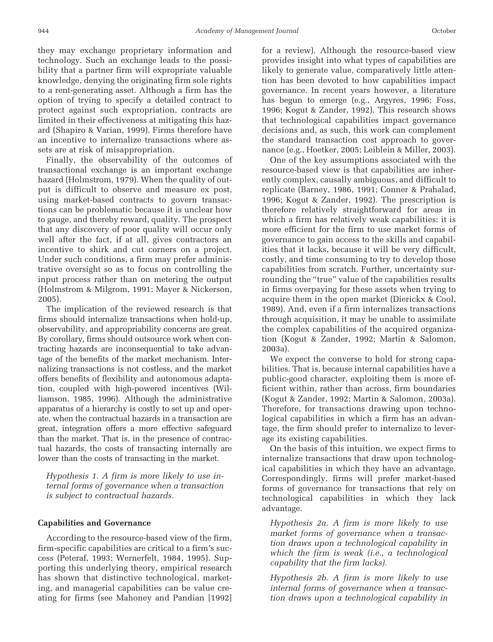they may exchange proprietary information and technology. Such an exchange leads to the possibility that a partner firm will expropriate valuable knowledge, denying the originating firm sole rights to a rent-generating asset. Although a firm has the option of trying to specify a detailed contract to protect against such expropriation, contracts are limited in their effectiveness at mitigating this hazard (Shapiro & Varian, 1999). Firms therefore have an incentive to internalize transactions where assets are at risk of misappropriation.

Finally, the observability of the outcomes of transactional exchange is an important exchange hazard (Holmstrom, 1979). When the quality of output is difficult to observe and measure ex post, using market-based contracts to govern transactions can be problematic because it is unclear how to gauge, and thereby reward, quality. The prospect that any discovery of poor quality will occur only well after the fact, if at all, gives contractors an incentive to shirk and cut corners on a project. Under such conditions, a firm may prefer administrative oversight so as to focus on controlling the input process rather than on metering the output (Holmstrom & Milgrom, 1991; Mayer & Nickerson, 2005).

The implication of the reviewed research is that firms should internalize transactions when hold-up, observability, and appropriability concerns are great. By corollary, firms should outsource work when contracting hazards are inconsequential to take advantage of the benefits of the market mechanism. Internalizing transactions is not costless, and the market offers benefits of flexibility and autonomous adaptation, coupled with high-powered incentives (Williamson, 1985, 1996). Although the administrative apparatus of a hierarchy is costly to set up and operate, when the contractual hazards in a transaction are great, integration offers a more effective safeguard than the market. That is, in the presence of contractual hazards, the costs of transacting internally are lower than the costs of transacting in the market.

*Hypothesis 1. A firm is more likely to use internal forms of governance when a transaction is subject to contractual hazards.*

#### **Capabilities and Governance**

According to the resource-based view of the firm, firm-specific capabilities are critical to a firm's success (Peteraf, 1993; Wernerfelt, 1984, 1995). Supporting this underlying theory, empirical research has shown that distinctive technological, marketing, and managerial capabilities can be value creating for firms (see Mahoney and Pandian [1992] for a review). Although the resource-based view provides insight into what types of capabilities are likely to generate value, comparatively little attention has been devoted to how capabilities impact governance. In recent years however, a literature has begun to emerge (e.g., Argyres, 1996; Foss, 1996; Kogut & Zander, 1992). This research shows that technological capabilities impact governance decisions and, as such, this work can complement the standard transaction cost approach to governance (e.g., Hoetker, 2005; Leiblein & Miller, 2003).

One of the key assumptions associated with the resource-based view is that capabilities are inherently complex, causally ambiguous, and difficult to replicate (Barney, 1986, 1991; Conner & Prahalad, 1996; Kogut & Zander, 1992). The prescription is therefore relatively straightforward for areas in which a firm has relatively weak capabilities: it is more efficient for the firm to use market forms of governance to gain access to the skills and capabilities that it lacks, because it will be very difficult, costly, and time consuming to try to develop those capabilities from scratch. Further, uncertainty surrounding the "true" value of the capabilities results in firms overpaying for these assets when trying to acquire them in the open market (Dierickx & Cool, 1989). And, even if a firm internalizes transactions through acquisition, it may be unable to assimilate the complex capabilities of the acquired organization (Kogut & Zander, 1992; Martin & Salomon, 2003a).

We expect the converse to hold for strong capabilities. That is, because internal capabilities have a public-good character, exploiting them is more efficient within, rather than across, firm boundaries (Kogut & Zander, 1992; Martin & Salomon, 2003a). Therefore, for transactions drawing upon technological capabilities in which a firm has an advantage, the firm should prefer to internalize to leverage its existing capabilities.

On the basis of this intuition, we expect firms to internalize transactions that draw upon technological capabilities in which they have an advantage. Correspondingly, firms will prefer market-based forms of governance for transactions that rely on technological capabilities in which they lack advantage.

*Hypothesis 2a. A firm is more likely to use market forms of governance when a transaction draws upon a technological capability in which the firm is weak (i.e., a technological capability that the firm lacks).*

*Hypothesis 2b. A firm is more likely to use internal forms of governance when a transaction draws upon a technological capability in*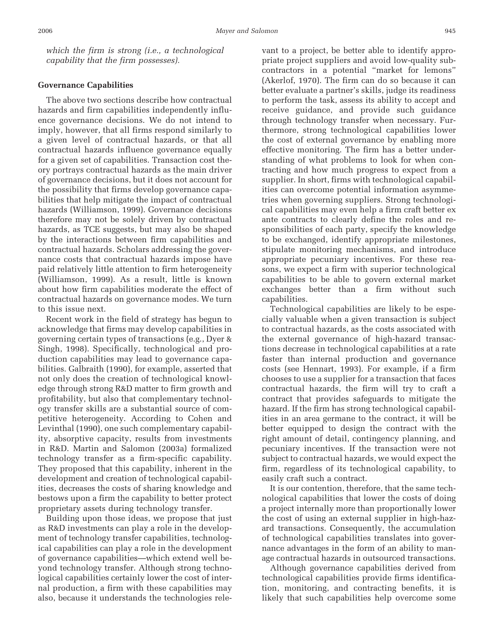*which the firm is strong (i.e., a technological capability that the firm possesses).*

#### **Governance Capabilities**

The above two sections describe how contractual hazards and firm capabilities independently influence governance decisions. We do not intend to imply, however, that all firms respond similarly to a given level of contractual hazards, or that all contractual hazards influence governance equally for a given set of capabilities. Transaction cost theory portrays contractual hazards as the main driver of governance decisions, but it does not account for the possibility that firms develop governance capabilities that help mitigate the impact of contractual hazards (Williamson, 1999). Governance decisions therefore may not be solely driven by contractual hazards, as TCE suggests, but may also be shaped by the interactions between firm capabilities and contractual hazards. Scholars addressing the governance costs that contractual hazards impose have paid relatively little attention to firm heterogeneity (Williamson, 1999). As a result, little is known about how firm capabilities moderate the effect of contractual hazards on governance modes. We turn to this issue next.

Recent work in the field of strategy has begun to acknowledge that firms may develop capabilities in governing certain types of transactions (e.g., Dyer & Singh, 1998). Specifically, technological and production capabilities may lead to governance capabilities. Galbraith (1990), for example, asserted that not only does the creation of technological knowledge through strong R&D matter to firm growth and profitability, but also that complementary technology transfer skills are a substantial source of competitive heterogeneity. According to Cohen and Levinthal (1990), one such complementary capability, absorptive capacity, results from investments in R&D. Martin and Salomon (2003a) formalized technology transfer as a firm-specific capability. They proposed that this capability, inherent in the development and creation of technological capabilities, decreases the costs of sharing knowledge and bestows upon a firm the capability to better protect proprietary assets during technology transfer.

Building upon those ideas, we propose that just as R&D investments can play a role in the development of technology transfer capabilities, technological capabilities can play a role in the development of governance capabilities—which extend well beyond technology transfer. Although strong technological capabilities certainly lower the cost of internal production, a firm with these capabilities may also, because it understands the technologies relevant to a project, be better able to identify appropriate project suppliers and avoid low-quality subcontractors in a potential "market for lemons" (Akerlof, 1970). The firm can do so because it can better evaluate a partner's skills, judge its readiness to perform the task, assess its ability to accept and receive guidance, and provide such guidance through technology transfer when necessary. Furthermore, strong technological capabilities lower the cost of external governance by enabling more effective monitoring. The firm has a better understanding of what problems to look for when contracting and how much progress to expect from a supplier. In short, firms with technological capabilities can overcome potential information asymmetries when governing suppliers. Strong technological capabilities may even help a firm craft better ex ante contracts to clearly define the roles and responsibilities of each party, specify the knowledge to be exchanged, identify appropriate milestones, stipulate monitoring mechanisms, and introduce appropriate pecuniary incentives. For these reasons, we expect a firm with superior technological capabilities to be able to govern external market exchanges better than a firm without such capabilities.

Technological capabilities are likely to be especially valuable when a given transaction is subject to contractual hazards, as the costs associated with the external governance of high-hazard transactions decrease in technological capabilities at a rate faster than internal production and governance costs (see Hennart, 1993). For example, if a firm chooses to use a supplier for a transaction that faces contractual hazards, the firm will try to craft a contract that provides safeguards to mitigate the hazard. If the firm has strong technological capabilities in an area germane to the contract, it will be better equipped to design the contract with the right amount of detail, contingency planning, and pecuniary incentives. If the transaction were not subject to contractual hazards, we would expect the firm, regardless of its technological capability, to easily craft such a contract.

It is our contention, therefore, that the same technological capabilities that lower the costs of doing a project internally more than proportionally lower the cost of using an external supplier in high-hazard transactions. Consequently, the accumulation of technological capabilities translates into governance advantages in the form of an ability to manage contractual hazards in outsourced transactions.

Although governance capabilities derived from technological capabilities provide firms identification, monitoring, and contracting benefits, it is likely that such capabilities help overcome some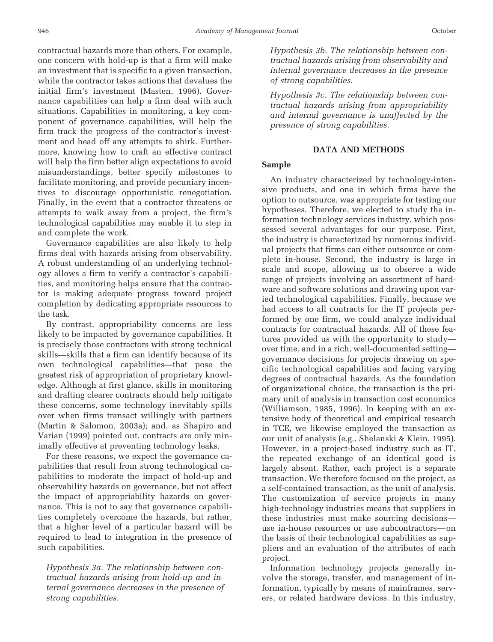contractual hazards more than others. For example, one concern with hold-up is that a firm will make an investment that is specific to a given transaction, while the contractor takes actions that devalues the initial firm's investment (Masten, 1996). Governance capabilities can help a firm deal with such situations. Capabilities in monitoring, a key component of governance capabilities, will help the firm track the progress of the contractor's investment and head off any attempts to shirk. Furthermore, knowing how to craft an effective contract will help the firm better align expectations to avoid misunderstandings, better specify milestones to facilitate monitoring, and provide pecuniary incentives to discourage opportunistic renegotiation. Finally, in the event that a contractor threatens or attempts to walk away from a project, the firm's technological capabilities may enable it to step in and complete the work.

Governance capabilities are also likely to help firms deal with hazards arising from observability. A robust understanding of an underlying technology allows a firm to verify a contractor's capabilities, and monitoring helps ensure that the contractor is making adequate progress toward project completion by dedicating appropriate resources to the task.

By contrast, appropriability concerns are less likely to be impacted by governance capabilities. It is precisely those contractors with strong technical skills—skills that a firm can identify because of its own technological capabilities—that pose the greatest risk of appropriation of proprietary knowledge. Although at first glance, skills in monitoring and drafting clearer contracts should help mitigate these concerns, some technology inevitably spills over when firms transact willingly with partners (Martin & Salomon, 2003a); and, as Shapiro and Varian (1999) pointed out, contracts are only minimally effective at preventing technology leaks.

For these reasons, we expect the governance capabilities that result from strong technological capabilities to moderate the impact of hold-up and observability hazards on governance, but not affect the impact of appropriability hazards on governance. This is not to say that governance capabilities completely overcome the hazards, but rather, that a higher level of a particular hazard will be required to lead to integration in the presence of such capabilities.

*Hypothesis 3a. The relationship between contractual hazards arising from hold-up and internal governance decreases in the presence of strong capabilities.*

*of strong capabilities.*

*Hypothesis 3c. The relationship between contractual hazards arising from appropriability and internal governance is unaffected by the presence of strong capabilities.*

*internal governance decreases in the presence*

## **DATA AND METHODS**

# **Sample**

An industry characterized by technology-intensive products, and one in which firms have the option to outsource, was appropriate for testing our hypotheses. Therefore, we elected to study the information technology services industry, which possessed several advantages for our purpose. First, the industry is characterized by numerous individual projects that firms can either outsource or complete in-house. Second, the industry is large in scale and scope, allowing us to observe a wide range of projects involving an assortment of hardware and software solutions and drawing upon varied technological capabilities. Finally, because we had access to all contracts for the IT projects performed by one firm, we could analyze individual contracts for contractual hazards. All of these features provided us with the opportunity to study over time, and in a rich, well-documented setting governance decisions for projects drawing on specific technological capabilities and facing varying degrees of contractual hazards. As the foundation of organizational choice, the transaction is the primary unit of analysis in transaction cost economics (Williamson, 1985, 1996). In keeping with an extensive body of theoretical and empirical research in TCE, we likewise employed the transaction as our unit of analysis (e.g., Shelanski & Klein, 1995). However, in a project-based industry such as IT, the repeated exchange of an identical good is largely absent. Rather, each project is a separate transaction. We therefore focused on the project, as a self-contained transaction, as the unit of analysis. The customization of service projects in many high-technology industries means that suppliers in these industries must make sourcing decisions use in-house resources or use subcontractors— on the basis of their technological capabilities as suppliers and an evaluation of the attributes of each project.

Information technology projects generally involve the storage, transfer, and management of information, typically by means of mainframes, servers, or related hardware devices. In this industry,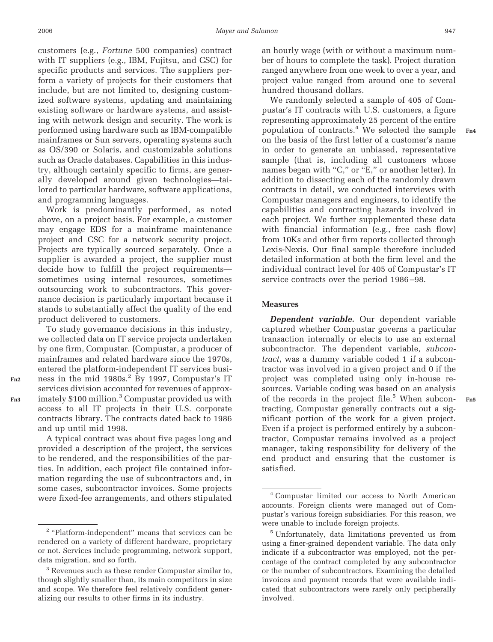customers (e.g., *Fortune* 500 companies) contract with IT suppliers (e.g., IBM, Fujitsu, and CSC) for specific products and services. The suppliers perform a variety of projects for their customers that include, but are not limited to, designing customized software systems, updating and maintaining existing software or hardware systems, and assisting with network design and security. The work is performed using hardware such as IBM-compatible mainframes or Sun servers, operating systems such as OS/390 or Solaris, and customizable solutions such as Oracle databases. Capabilities in this industry, although certainly specific to firms, are generally developed around given technologies—tailored to particular hardware, software applications, and programming languages.

Work is predominantly performed, as noted above, on a project basis. For example, a customer may engage EDS for a mainframe maintenance project and CSC for a network security project. Projects are typically sourced separately. Once a supplier is awarded a project, the supplier must decide how to fulfill the project requirements sometimes using internal resources, sometimes outsourcing work to subcontractors. This governance decision is particularly important because it stands to substantially affect the quality of the end product delivered to customers.

To study governance decisions in this industry, we collected data on IT service projects undertaken by one firm, Compustar. (Compustar, a producer of mainframes and related hardware since the 1970s, entered the platform-independent IT services business in the mid 1980s.<sup>2</sup> By 1997, Compustar's IT services division accounted for revenues of approximately \$100 million.<sup>3</sup> Compustar provided us with access to all IT projects in their U.S. corporate contracts library. The contracts dated back to 1986 and up until mid 1998.

A typical contract was about five pages long and provided a description of the project, the services to be rendered, and the responsibilities of the parties. In addition, each project file contained information regarding the use of subcontractors and, in some cases, subcontractor invoices. Some projects were fixed-fee arrangements, and others stipulated

an hourly wage (with or without a maximum number of hours to complete the task). Project duration ranged anywhere from one week to over a year, and project value ranged from around one to several hundred thousand dollars.

We randomly selected a sample of 405 of Compustar's IT contracts with U.S. customers, a figure representing approximately 25 percent of the entire population of contracts.4 We selected the sample on the basis of the first letter of a customer's name in order to generate an unbiased, representative sample (that is, including all customers whose names began with "C," or "E," or another letter). In addition to dissecting each of the randomly drawn contracts in detail, we conducted interviews with Compustar managers and engineers, to identify the capabilities and contracting hazards involved in each project. We further supplemented these data with financial information (e.g., free cash flow) from 10Ks and other firm reports collected through Lexis-Nexis. Our final sample therefore included detailed information at both the firm level and the individual contract level for 405 of Compustar's IT service contracts over the period 1986 –98.

#### **Measures**

*Dependent variable.* Our dependent variable captured whether Compustar governs a particular transaction internally or elects to use an external subcontractor. The dependent variable, *subcontract*, was a dummy variable coded 1 if a subcontractor was involved in a given project and 0 if the project was completed using only in-house resources. Variable coding was based on an analysis of the records in the project file.<sup>5</sup> When subcontracting, Compustar generally contracts out a significant portion of the work for a given project. Even if a project is performed entirely by a subcontractor, Compustar remains involved as a project manager, taking responsibility for delivery of the end product and ensuring that the customer is satisfied.

**Fn4**

<sup>2</sup> "Platform-independent" means that services can be rendered on a variety of different hardware, proprietary or not. Services include programming, network support, data migration, and so forth.

<sup>3</sup> Revenues such as these render Compustar similar to, though slightly smaller than, its main competitors in size and scope. We therefore feel relatively confident generalizing our results to other firms in its industry.

<sup>4</sup> Compustar limited our access to North American accounts. Foreign clients were managed out of Compustar's various foreign subsidiaries. For this reason, we were unable to include foreign projects.

<sup>5</sup> Unfortunately, data limitations prevented us from using a finer-grained dependent variable. The data only indicate if a subcontractor was employed, not the percentage of the contract completed by any subcontractor or the number of subcontractors. Examining the detailed invoices and payment records that were available indicated that subcontractors were rarely only peripherally involved.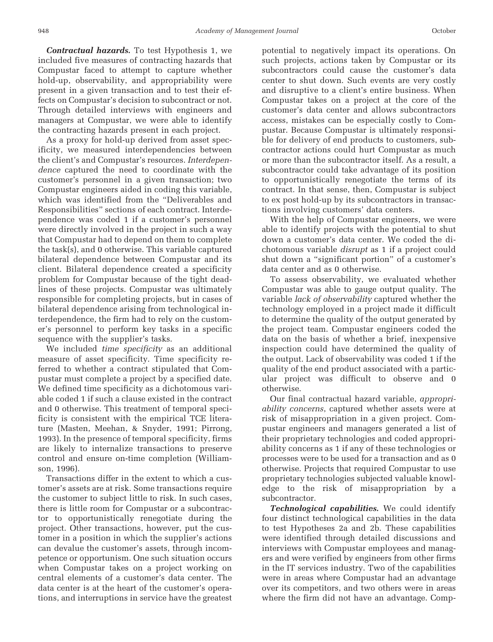*Contractual hazards.* To test Hypothesis 1, we included five measures of contracting hazards that Compustar faced to attempt to capture whether hold-up, observability, and appropriability were present in a given transaction and to test their effects on Compustar's decision to subcontract or not. Through detailed interviews with engineers and managers at Compustar, we were able to identify the contracting hazards present in each project.

As a proxy for hold-up derived from asset specificity, we measured interdependencies between the client's and Compustar's resources. *Interdependence* captured the need to coordinate with the customer's personnel in a given transaction; two Compustar engineers aided in coding this variable, which was identified from the "Deliverables and Responsibilities" sections of each contract. Interdependence was coded 1 if a customer's personnel were directly involved in the project in such a way that Compustar had to depend on them to complete the task(s), and 0 otherwise. This variable captured bilateral dependence between Compustar and its client. Bilateral dependence created a specificity problem for Compustar because of the tight deadlines of these projects. Compustar was ultimately responsible for completing projects, but in cases of bilateral dependence arising from technological interdependence, the firm had to rely on the customer's personnel to perform key tasks in a specific sequence with the supplier's tasks.

We included *time specificity* as an additional measure of asset specificity. Time specificity referred to whether a contract stipulated that Compustar must complete a project by a specified date. We defined time specificity as a dichotomous variable coded 1 if such a clause existed in the contract and 0 otherwise. This treatment of temporal specificity is consistent with the empirical TCE literature (Masten, Meehan, & Snyder, 1991; Pirrong, 1993). In the presence of temporal specificity, firms are likely to internalize transactions to preserve control and ensure on-time completion (Williamson, 1996).

Transactions differ in the extent to which a customer's assets are at risk. Some transactions require the customer to subject little to risk. In such cases, there is little room for Compustar or a subcontractor to opportunistically renegotiate during the project. Other transactions, however, put the customer in a position in which the supplier's actions can devalue the customer's assets, through incompetence or opportunism. One such situation occurs when Compustar takes on a project working on central elements of a customer's data center. The data center is at the heart of the customer's operations, and interruptions in service have the greatest

potential to negatively impact its operations. On such projects, actions taken by Compustar or its subcontractors could cause the customer's data center to shut down. Such events are very costly and disruptive to a client's entire business. When Compustar takes on a project at the core of the customer's data center and allows subcontractors access, mistakes can be especially costly to Compustar. Because Compustar is ultimately responsible for delivery of end products to customers, subcontractor actions could hurt Compustar as much or more than the subcontractor itself. As a result, a subcontractor could take advantage of its position to opportunistically renegotiate the terms of its contract. In that sense, then, Compustar is subject to ex post hold-up by its subcontractors in transactions involving customers' data centers.

With the help of Compustar engineers, we were able to identify projects with the potential to shut down a customer's data center. We coded the dichotomous variable *disrupt* as 1 if a project could shut down a "significant portion" of a customer's data center and as 0 otherwise.

To assess observability, we evaluated whether Compustar was able to gauge output quality. The variable *lack of observability* captured whether the technology employed in a project made it difficult to determine the quality of the output generated by the project team. Compustar engineers coded the data on the basis of whether a brief, inexpensive inspection could have determined the quality of the output. Lack of observability was coded 1 if the quality of the end product associated with a particular project was difficult to observe and 0 otherwise.

Our final contractual hazard variable, *appropriability concerns*, captured whether assets were at risk of misappropriation in a given project. Compustar engineers and managers generated a list of their proprietary technologies and coded appropriability concerns as 1 if any of these technologies or processes were to be used for a transaction and as 0 otherwise. Projects that required Compustar to use proprietary technologies subjected valuable knowledge to the risk of misappropriation by a subcontractor.

*Technological capabilities.* We could identify four distinct technological capabilities in the data to test Hypotheses 2a and 2b. These capabilities were identified through detailed discussions and interviews with Compustar employees and managers and were verified by engineers from other firms in the IT services industry. Two of the capabilities were in areas where Compustar had an advantage over its competitors, and two others were in areas where the firm did not have an advantage. Comp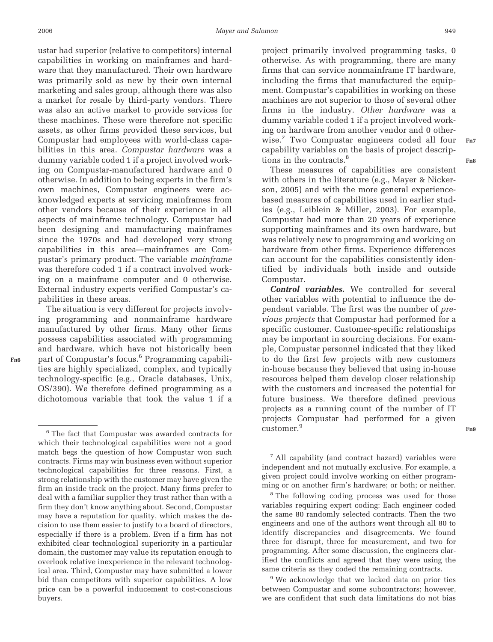ustar had superior (relative to competitors) internal capabilities in working on mainframes and hardware that they manufactured. Their own hardware was primarily sold as new by their own internal marketing and sales group, although there was also a market for resale by third-party vendors. There was also an active market to provide services for these machines. These were therefore not specific assets, as other firms provided these services, but Compustar had employees with world-class capabilities in this area. *Compustar hardware* was a dummy variable coded 1 if a project involved working on Compustar-manufactured hardware and 0 otherwise. In addition to being experts in the firm's own machines, Compustar engineers were acknowledged experts at servicing mainframes from other vendors because of their experience in all aspects of mainframe technology. Compustar had been designing and manufacturing mainframes since the 1970s and had developed very strong capabilities in this area—mainframes are Compustar's primary product. The variable *mainframe* was therefore coded 1 if a contract involved working on a mainframe computer and 0 otherwise. External industry experts verified Compustar's capabilities in these areas.

The situation is very different for projects involving programming and nonmainframe hardware manufactured by other firms. Many other firms possess capabilities associated with programming and hardware, which have not historically been part of Compustar's focus.<sup>6</sup> Programming capabilities are highly specialized, complex, and typically technology-specific (e.g., Oracle databases, Unix, OS/390). We therefore defined programming as a dichotomous variable that took the value 1 if a

project primarily involved programming tasks, 0 otherwise. As with programming, there are many firms that can service nonmainframe IT hardware, including the firms that manufactured the equipment. Compustar's capabilities in working on these machines are not superior to those of several other firms in the industry. *Other hardware* was a dummy variable coded 1 if a project involved working on hardware from another vendor and 0 otherwise.7 Two Compustar engineers coded all four capability variables on the basis of project descriptions in the contracts.<sup>8</sup>

These measures of capabilities are consistent with others in the literature (e.g., Mayer & Nickerson, 2005) and with the more general experiencebased measures of capabilities used in earlier studies (e.g., Leiblein & Miller, 2003). For example, Compustar had more than 20 years of experience supporting mainframes and its own hardware, but was relatively new to programming and working on hardware from other firms. Experience differences can account for the capabilities consistently identified by individuals both inside and outside Compustar.

*Control variables.* We controlled for several other variables with potential to influence the dependent variable. The first was the number of *previous projects* that Compustar had performed for a specific customer. Customer-specific relationships may be important in sourcing decisions. For example, Compustar personnel indicated that they liked to do the first few projects with new customers in-house because they believed that using in-house resources helped them develop closer relationship with the customers and increased the potential for future business. We therefore defined previous projects as a running count of the number of IT projects Compustar had performed for a given

<sup>9</sup> We acknowledge that we lacked data on prior ties between Compustar and some subcontractors; however, we are confident that such data limitations do not bias **Fn7 Fn8**

 $\overline{6}$  The fact that Compustar was awarded contracts for customer.<sup>9</sup> which their technological capabilities were not a good match begs the question of how Compustar won such contracts. Firms may win business even without superior technological capabilities for three reasons. First, a strong relationship with the customer may have given the firm an inside track on the project. Many firms prefer to deal with a familiar supplier they trust rather than with a firm they don't know anything about. Second, Compustar may have a reputation for quality, which makes the decision to use them easier to justify to a board of directors, especially if there is a problem. Even if a firm has not exhibited clear technological superiority in a particular domain, the customer may value its reputation enough to overlook relative inexperience in the relevant technological area. Third, Compustar may have submitted a lower bid than competitors with superior capabilities. A low price can be a powerful inducement to cost-conscious buyers.

<sup>7</sup> All capability (and contract hazard) variables were independent and not mutually exclusive. For example, a given project could involve working on either programming or on another firm's hardware; or both; or neither.

<sup>&</sup>lt;sup>8</sup> The following coding process was used for those variables requiring expert coding: Each engineer coded the same 80 randomly selected contracts. Then the two engineers and one of the authors went through all 80 to identify discrepancies and disagreements. We found three for disrupt, three for measurement, and two for programming. After some discussion, the engineers clarified the conflicts and agreed that they were using the same criteria as they coded the remaining contracts.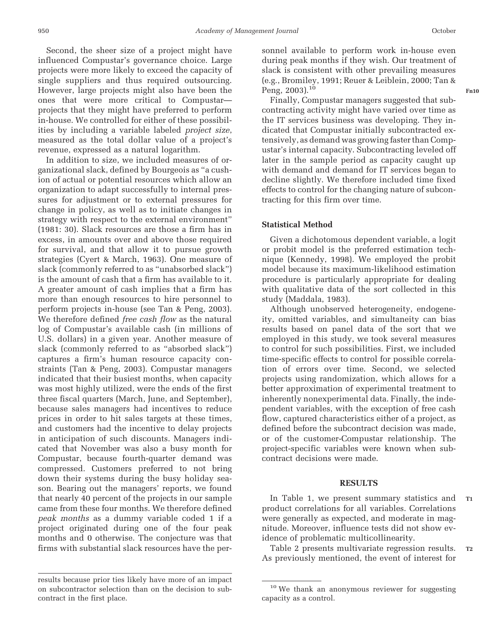Second, the sheer size of a project might have influenced Compustar's governance choice. Large projects were more likely to exceed the capacity of single suppliers and thus required outsourcing. However, large projects might also have been the ones that were more critical to Compustar projects that they might have preferred to perform in-house. We controlled for either of these possibilities by including a variable labeled *project size*, measured as the total dollar value of a project's revenue, expressed as a natural logarithm.

In addition to size, we included measures of organizational slack, defined by Bourgeois as "a cushion of actual or potential resources which allow an organization to adapt successfully to internal pressures for adjustment or to external pressures for change in policy, as well as to initiate changes in strategy with respect to the external environment" (1981: 30). Slack resources are those a firm has in excess, in amounts over and above those required for survival, and that allow it to pursue growth strategies (Cyert & March, 1963). One measure of slack (commonly referred to as "unabsorbed slack") is the amount of cash that a firm has available to it. A greater amount of cash implies that a firm has more than enough resources to hire personnel to perform projects in-house (see Tan & Peng, 2003). We therefore defined *free cash flow* as the natural log of Compustar's available cash (in millions of U.S. dollars) in a given year. Another measure of slack (commonly referred to as "absorbed slack") captures a firm's human resource capacity constraints (Tan & Peng, 2003). Compustar managers indicated that their busiest months, when capacity was most highly utilized, were the ends of the first three fiscal quarters (March, June, and September), because sales managers had incentives to reduce prices in order to hit sales targets at these times, and customers had the incentive to delay projects in anticipation of such discounts. Managers indicated that November was also a busy month for Compustar, because fourth-quarter demand was compressed. Customers preferred to not bring down their systems during the busy holiday season. Bearing out the managers' reports, we found that nearly 40 percent of the projects in our sample came from these four months. We therefore defined *peak months* as a dummy variable coded 1 if a project originated during one of the four peak months and 0 otherwise. The conjecture was that firms with substantial slack resources have the personnel available to perform work in-house even during peak months if they wish. Our treatment of slack is consistent with other prevailing measures (e.g., Bromiley, 1991; Reuer & Leiblein, 2000; Tan & Peng, 2003).10

Finally, Compustar managers suggested that subcontracting activity might have varied over time as the IT services business was developing. They indicated that Compustar initially subcontracted extensively, as demand was growing faster than Compustar's internal capacity. Subcontracting leveled off later in the sample period as capacity caught up with demand and demand for IT services began to decline slightly. We therefore included time fixed effects to control for the changing nature of subcontracting for this firm over time.

#### **Statistical Method**

Given a dichotomous dependent variable, a logit or probit model is the preferred estimation technique (Kennedy, 1998). We employed the probit model because its maximum-likelihood estimation procedure is particularly appropriate for dealing with qualitative data of the sort collected in this study (Maddala, 1983).

Although unobserved heterogeneity, endogeneity, omitted variables, and simultaneity can bias results based on panel data of the sort that we employed in this study, we took several measures to control for such possibilities. First, we included time-specific effects to control for possible correlation of errors over time. Second, we selected projects using randomization, which allows for a better approximation of experimental treatment to inherently nonexperimental data. Finally, the independent variables, with the exception of free cash flow, captured characteristics either of a project, as defined before the subcontract decision was made, or of the customer-Compustar relationship. The project-specific variables were known when subcontract decisions were made.

#### **RESULTS**

In Table 1, we present summary statistics and product correlations for all variables. Correlations were generally as expected, and moderate in magnitude. Moreover, influence tests did not show evidence of problematic multicollinearity. **T1**

Table 2 presents multivariate regression results. As previously mentioned, the event of interest for **T2**

results because prior ties likely have more of an impact on subcontractor selection than on the decision to subcontract in the first place.

<sup>10</sup> We thank an anonymous reviewer for suggesting capacity as a control.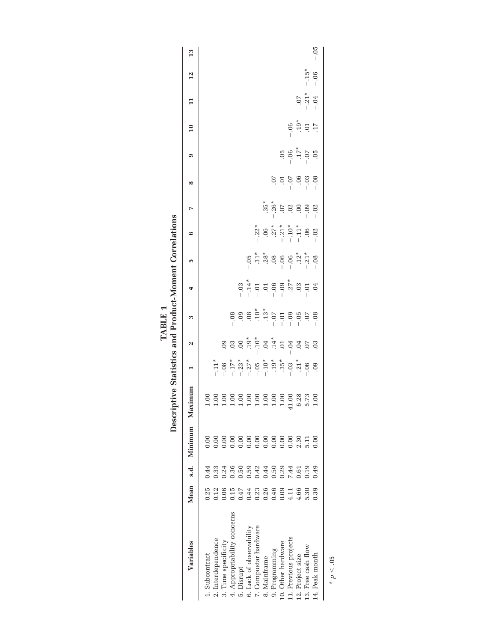|                    |                                                        | 13              |                |                    |                     |                             |                   |                          |                       |                                                                                                                                                                                                                                                                                                                       |                                                                      |                    |                               |                  |                               | $-0.5$         |      |      |  |
|--------------------|--------------------------------------------------------|-----------------|----------------|--------------------|---------------------|-----------------------------|-------------------|--------------------------|-----------------------|-----------------------------------------------------------------------------------------------------------------------------------------------------------------------------------------------------------------------------------------------------------------------------------------------------------------------|----------------------------------------------------------------------|--------------------|-------------------------------|------------------|-------------------------------|----------------|------|------|--|
| TABLE <sub>1</sub> | Descriptive Statistics and Product-Moment Correlations | $\frac{2}{3}$   |                |                    |                     |                             |                   |                          |                       |                                                                                                                                                                                                                                                                                                                       |                                                                      |                    |                               |                  | $-.15*$                       | $-0.06$        |      |      |  |
|                    |                                                        | $\mathbf{1}$    |                |                    |                     |                             |                   |                          |                       |                                                                                                                                                                                                                                                                                                                       |                                                                      |                    |                               |                  | $-27$<br>$-27$<br>$-194$      |                |      |      |  |
|                    |                                                        | $\overline{10}$ |                |                    |                     |                             |                   |                          |                       |                                                                                                                                                                                                                                                                                                                       |                                                                      |                    | $-0.06$                       |                  | $\frac{1}{1}$ 5 $\frac{1}{1}$ |                |      |      |  |
|                    |                                                        | ຶ               |                |                    |                     |                             |                   |                          |                       |                                                                                                                                                                                                                                                                                                                       |                                                                      |                    | $30 - 20 - 1 = 50$            |                  |                               | 05             |      |      |  |
|                    |                                                        | $\infty$        |                |                    |                     |                             |                   |                          |                       |                                                                                                                                                                                                                                                                                                                       | $50$ .                                                               | $\overline{0}$ .   | $-0.5$<br>$-0.05$<br>$-0.05$  |                  |                               | $-0.08$        |      |      |  |
|                    |                                                        | ↖               |                |                    |                     |                             |                   |                          |                       | $.35*$                                                                                                                                                                                                                                                                                                                | $-0.26$<br>$-0.02$                                                   |                    |                               | 00               | $-0.9$                        | $-.02$         |      |      |  |
|                    |                                                        | అ               |                |                    |                     |                             |                   |                          |                       | $-32^*$<br>$-37^*$<br>$-37^*$<br>$-17^*$<br>$-17^*$<br>$-17^*$<br>$-17^*$                                                                                                                                                                                                                                             |                                                                      |                    |                               |                  |                               | $-0.02$        |      |      |  |
|                    |                                                        | <b>S</b>        |                |                    |                     |                             |                   |                          |                       | $-0.5$ $\frac{1}{2}$ $\frac{1}{2}$ $\frac{1}{2}$ $\frac{1}{2}$ $\frac{1}{2}$ $\frac{1}{2}$ $\frac{1}{2}$ $\frac{1}{2}$ $\frac{1}{2}$ $\frac{1}{2}$ $\frac{1}{2}$ $\frac{1}{2}$ $\frac{1}{2}$ $\frac{1}{2}$ $\frac{1}{2}$ $\frac{1}{2}$ $\frac{1}{2}$ $\frac{1}{2}$ $\frac{1}{2}$ $\frac{1}{2}$ $\frac{1}{2}$ $\frac{$ |                                                                      |                    | $-0.06$<br>$-0.24$<br>$-0.21$ |                  |                               | $-0.08$        |      |      |  |
|                    |                                                        | 4               |                |                    |                     |                             |                   |                          |                       |                                                                                                                                                                                                                                                                                                                       |                                                                      |                    |                               |                  |                               | .04            |      |      |  |
|                    |                                                        | s               |                |                    |                     |                             |                   |                          |                       |                                                                                                                                                                                                                                                                                                                       |                                                                      |                    |                               |                  |                               | $-0.8$         |      |      |  |
|                    |                                                        |                 | 2              |                    |                     |                             | 60.09             |                          |                       |                                                                                                                                                                                                                                                                                                                       |                                                                      |                    |                               |                  |                               | 30.50          |      |      |  |
|                    |                                                        |                 |                |                    | $-.11*$             |                             | $-0.08$<br>$-17*$ |                          |                       |                                                                                                                                                                                                                                                                                                                       | $-23*$<br>$-27*$<br>$-105*$<br>$-105*$<br>$-35*$<br>$-103$<br>$-103$ |                    |                               |                  | $-0.21$ *                     |                | 0.0  |      |  |
|                    |                                                        | Maximum         |                | $\frac{00}{100}$   | 1.00                |                             |                   |                          |                       |                                                                                                                                                                                                                                                                                                                       |                                                                      |                    | 11.00                         |                  | $6.28$<br>$5.73$<br>$1.00$    |                |      |      |  |
|                    |                                                        |                 |                | Mean s.d. Minimum  | 0.00                | 0.00                        | 0.00              | 0.00                     | 0.00                  | 0.00                                                                                                                                                                                                                                                                                                                  |                                                                      |                    |                               |                  | 0.00                          | 2.30           | 5.11 | 0.00 |  |
|                    |                                                        |                 | 0.44           | 0.33               | 0.24                | 0.36                        | 0.50              | 0.59                     | 0.42                  | 0.44                                                                                                                                                                                                                                                                                                                  | 0.50                                                                 | 0.29               | 7.44                          | 0.61             | 0.19                          | 0.49           |      |      |  |
|                    |                                                        |                 | 0.25           | 0.12               | 0.06                | 0.15                        | 0.47              | 0.44                     | 0.23                  | 0.26                                                                                                                                                                                                                                                                                                                  | 0.46                                                                 | 0.09               | 4.11                          | 4.66             | 5.30                          | 0.39           |      |      |  |
|                    |                                                        | Variables       | 1. Subcontract | 2. Interdependence | 3. Time specificity | 4. Appropriability concerns | 5. Disrupt        | 6. Lack of observability | 7. Compustar hardware | 8. Mainframe                                                                                                                                                                                                                                                                                                          | 9. Programming                                                       | 10. Other hardware | 11. Previous projects         | 12. Project size | 13. Free cash flow            | 14. Peak month |      |      |  |

|                | ر<br>ڊ                 |
|----------------|------------------------|
| I<br>THATTIT T |                        |
|                | $\frac{3}{4}$<br>nue . |
|                |                        |
|                |                        |
|                | ۱                      |

 $\leq p \leq$ .05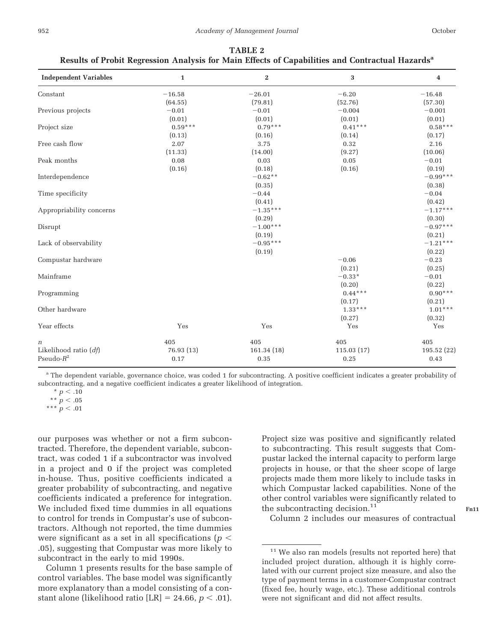| <b>Independent Variables</b> | $\mathbf{1}$        | $\overline{\mathbf{2}}$ | 3                  | $\overline{4}$      |
|------------------------------|---------------------|-------------------------|--------------------|---------------------|
|                              |                     |                         |                    |                     |
| Constant                     | $-16.58$<br>(64.55) | $-26.01$<br>(79.81)     | $-6.20$<br>(52.76) | $-16.48$<br>(57.30) |
|                              | $-0.01$             | $-0.01$                 | $-0.004$           | $-0.001$            |
| Previous projects            | (0.01)              | (0.01)                  | (0.01)             |                     |
|                              | $0.59***$           | $0.79***$               | $0.41***$          | (0.01)<br>$0.58***$ |
| Project size                 |                     |                         |                    |                     |
|                              | (0.13)              | (0.16)                  | (0.14)             | (0.17)              |
| Free cash flow               | 2.07                | 3.75                    | 0.32               | 2.16                |
|                              | (11.33)             | (14.00)                 | (9.27)             | (10.06)             |
| Peak months                  | 0.08                | 0.03                    | 0.05               | $-0.01$             |
|                              | (0.16)              | (0.18)                  | (0.16)             | (0.19)              |
| Interdependence              |                     | $-0.62**$               |                    | $-0.99***$          |
|                              |                     | (0.35)                  |                    | (0.38)              |
| Time specificity             |                     | $-0.44$                 |                    | $-0.04$             |
|                              |                     | (0.41)                  |                    | (0.42)              |
| Appropriability concerns     |                     | $-1.35***$              |                    | $-1.17***$          |
|                              |                     | (0.29)                  |                    | (0.30)              |
| Disrupt                      |                     | $-1.00***$              |                    | $-0.97***$          |
|                              |                     | (0.19)                  |                    | (0.21)              |
| Lack of observability        |                     | $-0.95***$              |                    | $-1.21***$          |
|                              |                     | (0.19)                  |                    | (0.22)              |
| Compustar hardware           |                     |                         | $-0.06$            | $-0.23$             |
|                              |                     |                         | (0.21)             | (0.25)              |
| Mainframe                    |                     |                         | $-0.33*$           | $-0.01$             |
|                              |                     |                         | (0.20)             | (0.22)              |
| Programming                  |                     |                         | $0.44***$          | $0.90***$           |
|                              |                     |                         | (0.17)             | (0.21)              |
| Other hardware               |                     |                         | $1.33***$          | $1.01***$           |
|                              |                     |                         | (0.27)             | (0.32)              |
| Year effects                 | Yes                 | Yes                     | Yes                | Yes                 |
| $\boldsymbol{n}$             | 405                 | 405                     | 405                | 405                 |
| Likelihood ratio $(df)$      | 76.93 (13)          | 161.34 (18)             | 115.03 (17)        | 195.52 (22)         |
| Pseudo- $R^2$                | 0.17                | 0.35                    | 0.25               | 0.43                |

**TABLE 2 Results of Probit Regression Analysis for Main Effects of Capabilities and Contractual Hazardsa**

<sup>a</sup> The dependent variable, governance choice, was coded 1 for subcontracting. A positive coefficient indicates a greater probability of subcontracting, and a negative coefficient indicates a greater likelihood of integration.

 $*** p < .01$ 

our purposes was whether or not a firm subcontracted. Therefore, the dependent variable, subcontract, was coded 1 if a subcontractor was involved in a project and 0 if the project was completed in-house. Thus, positive coefficients indicated a greater probability of subcontracting, and negative coefficients indicated a preference for integration. We included fixed time dummies in all equations to control for trends in Compustar's use of subcontractors. Although not reported, the time dummies were significant as a set in all specifications ( $p <$ .05), suggesting that Compustar was more likely to subcontract in the early to mid 1990s.

Column 1 presents results for the base sample of control variables. The base model was significantly more explanatory than a model consisting of a constant alone (likelihood ratio [LR] = 24.66,  $p < .01$ ).

Project size was positive and significantly related to subcontracting. This result suggests that Compustar lacked the internal capacity to perform large projects in house, or that the sheer scope of large projects made them more likely to include tasks in which Compustar lacked capabilities. None of the other control variables were significantly related to the subcontracting decision.<sup>11</sup>

Column 2 includes our measures of contractual

 $*$   $p < .10$ 

 $*$  \*  $p < .05$ 

<sup>&</sup>lt;sup>11</sup> We also ran models (results not reported here) that included project duration, although it is highly correlated with our current project size measure, and also the type of payment terms in a customer-Compustar contract (fixed fee, hourly wage, etc.). These additional controls were not significant and did not affect results.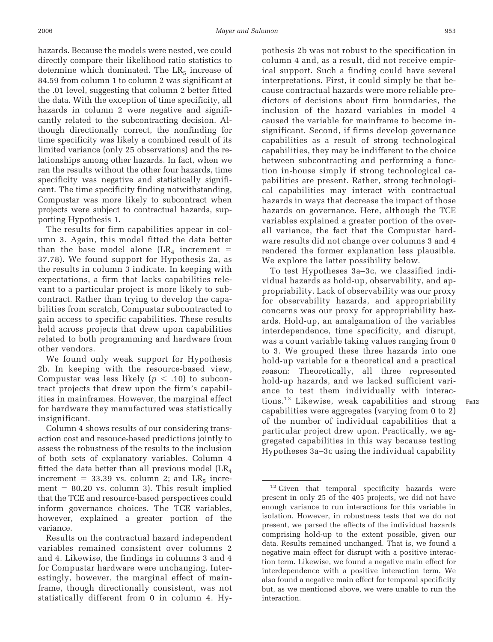hazards. Because the models were nested, we could directly compare their likelihood ratio statistics to determine which dominated. The  $LR_5$  increase of 84.59 from column 1 to column 2 was significant at the .01 level, suggesting that column 2 better fitted the data. With the exception of time specificity, all hazards in column 2 were negative and significantly related to the subcontracting decision. Although directionally correct, the nonfinding for time specificity was likely a combined result of its limited variance (only 25 observations) and the relationships among other hazards. In fact, when we ran the results without the other four hazards, time specificity was negative and statistically significant. The time specificity finding notwithstanding, Compustar was more likely to subcontract when projects were subject to contractual hazards, supporting Hypothesis 1.

The results for firm capabilities appear in column 3. Again, this model fitted the data better than the base model alone  $(LR<sub>4</sub>$  increment = 37.78). We found support for Hypothesis 2a, as the results in column 3 indicate. In keeping with expectations, a firm that lacks capabilities relevant to a particular project is more likely to subcontract. Rather than trying to develop the capabilities from scratch, Compustar subcontracted to gain access to specific capabilities. These results held across projects that drew upon capabilities related to both programming and hardware from other vendors.

We found only weak support for Hypothesis 2b. In keeping with the resource-based view, Compustar was less likely ( $p < .10$ ) to subcontract projects that drew upon the firm's capabilities in mainframes. However, the marginal effect for hardware they manufactured was statistically insignificant.

Column 4 shows results of our considering transaction cost and resouce-based predictions jointly to assess the robustness of the results to the inclusion of both sets of explanatory variables. Column 4 fitted the data better than all previous model  $(LR<sub>4</sub>)$ increment = 33.39 vs. column 2; and  $LR_5$  increment  $= 80.20$  vs. column 3). This result implied that the TCE and resource-based perspectives could inform governance choices. The TCE variables, however, explained a greater portion of the variance.

Results on the contractual hazard independent variables remained consistent over columns 2 and 4. Likewise, the findings in columns 3 and 4 for Compustar hardware were unchanging. Interestingly, however, the marginal effect of mainframe, though directionally consistent, was not statistically different from 0 in column 4. Hypothesis 2b was not robust to the specification in column 4 and, as a result, did not receive empirical support. Such a finding could have several interpretations. First, it could simply be that because contractual hazards were more reliable predictors of decisions about firm boundaries, the inclusion of the hazard variables in model 4 caused the variable for mainframe to become insignificant. Second, if firms develop governance capabilities as a result of strong technological capabilities, they may be indifferent to the choice between subcontracting and performing a function in-house simply if strong technological capabilities are present. Rather, strong technological capabilities may interact with contractual hazards in ways that decrease the impact of those hazards on governance. Here, although the TCE variables explained a greater portion of the overall variance, the fact that the Compustar hardware results did not change over columns 3 and 4 rendered the former explanation less plausible. We explore the latter possibility below.

To test Hypotheses 3a–3c, we classified individual hazards as hold-up, observability, and appropriability. Lack of observability was our proxy for observability hazards, and appropriability concerns was our proxy for appropriability hazards. Hold-up, an amalgamation of the variables interdependence, time specificity, and disrupt, was a count variable taking values ranging from 0 to 3. We grouped these three hazards into one hold-up variable for a theoretical and a practical reason: Theoretically, all three represented hold-up hazards, and we lacked sufficient variance to test them individually with interactions.<sup>12</sup> Likewise, weak capabilities and strong capabilities were aggregates (varying from 0 to 2) of the number of individual capabilities that a particular project drew upon. Practically, we aggregated capabilities in this way because testing Hypotheses 3a–3c using the individual capability

<sup>&</sup>lt;sup>12</sup> Given that temporal specificity hazards were present in only 25 of the 405 projects, we did not have enough variance to run interactions for this variable in isolation. However, in robustness tests that we do not present, we parsed the effects of the individual hazards comprising hold-up to the extent possible, given our data. Results remained unchanged. That is, we found a negative main effect for disrupt with a positive interaction term. Likewise, we found a negative main effect for interdependence with a positive interaction term. We also found a negative main effect for temporal specificity but, as we mentioned above, we were unable to run the interaction.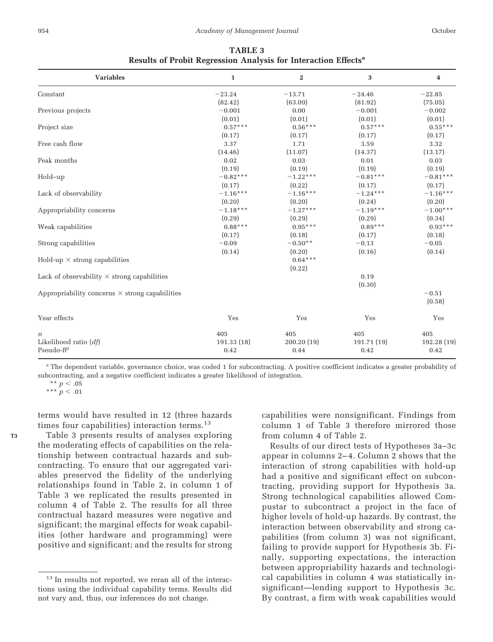| Results of Front Regression Amarysis for Interaction Effects |              |                         |             |                         |  |  |  |  |
|--------------------------------------------------------------|--------------|-------------------------|-------------|-------------------------|--|--|--|--|
| <b>Variables</b>                                             | $\mathbf{1}$ | $\overline{\mathbf{2}}$ | 3           | $\overline{\mathbf{4}}$ |  |  |  |  |
| Constant                                                     | $-23.24$     | $-13.71$                | $-24.46$    | $-22.85$                |  |  |  |  |
|                                                              | (82.42)      | (63.09)                 | (81.92)     | (75.05)                 |  |  |  |  |
| Previous projects                                            | $-0.001$     | 0.00                    | $-0.001$    | $-0.002$                |  |  |  |  |
|                                                              | (0.01)       | (0.01)                  | (0.01)      | (0.01)                  |  |  |  |  |
| Project size                                                 | $0.57***$    | $0.56***$               | $0.57***$   | $0.55***$               |  |  |  |  |
|                                                              | (0.17)       | (0.17)                  | (0.17)      | (0.17)                  |  |  |  |  |
| Free cash flow                                               | 3.37         | 1.71                    | 3.59        | 3.32                    |  |  |  |  |
|                                                              | (14.46)      | (11.07)                 | (14.37)     | (13.17)                 |  |  |  |  |
| Peak months                                                  | 0.02         | 0.03                    | 0.01        | 0.03                    |  |  |  |  |
|                                                              | (0.19)       | (0.19)                  | (0.19)      | (0.19)                  |  |  |  |  |
| $Hold-up$                                                    | $-0.82***$   | $-1.22***$              | $-0.81***$  | $-0.81***$              |  |  |  |  |
|                                                              | (0.17)       | (0.22)                  | (0.17)      | (0.17)                  |  |  |  |  |
| Lack of observability                                        | $-1.16***$   | $-1.16***$              | $-1.24***$  | $-1.16***$              |  |  |  |  |
|                                                              | (0.20)       | (0.20)                  | (0.24)      | (0.20)                  |  |  |  |  |
| Appropriability concerns                                     | $-1.18***$   | $-1.27***$              | $-1.19***$  | $-1.00***$              |  |  |  |  |
|                                                              | (0.29)       | (0.29)                  | (0.29)      | (0.34)                  |  |  |  |  |
| Weak capabilities                                            | $0.88***$    | $0.95***$               | $0.89***$   | $0.93***$               |  |  |  |  |
|                                                              | (0.17)       | (0.18)                  | (0.17)      | (0.18)                  |  |  |  |  |
| Strong capabilities                                          | $-0.09$      | $-0.50**$               | $-0.13$     | $-0.05$                 |  |  |  |  |
|                                                              | (0.14)       | (0.20)                  | (0.16)      | (0.14)                  |  |  |  |  |
| Hold-up $\times$ strong capabilities                         |              | $0.64***$               |             |                         |  |  |  |  |
|                                                              |              | (0.22)                  |             |                         |  |  |  |  |
| Lack of observability $\times$ strong capabilities           |              |                         | 0.19        |                         |  |  |  |  |
|                                                              |              |                         | (0.30)      |                         |  |  |  |  |
| Appropriability concerns $\times$ strong capabilities        |              |                         |             | $-0.51$                 |  |  |  |  |
|                                                              |              |                         |             | (0.58)                  |  |  |  |  |
| Year effects                                                 | Yes          | Yes                     | Yes         | Yes                     |  |  |  |  |
| $\boldsymbol{n}$                                             | 405          | 405                     | 405         | 405                     |  |  |  |  |
| Likelihood ratio $(df)$                                      | 191.33 (18)  | 200.20 (19)             | 191.71 (19) | 192.28 (19)             |  |  |  |  |
| Pseudo- $R^2$                                                | 0.42         | 0.44                    | 0.42        | 0.42                    |  |  |  |  |
|                                                              |              |                         |             |                         |  |  |  |  |

**TABLE 3 Results of Probit Regression Analysis for Interaction Effectsa**

<sup>a</sup> The dependent variable, governance choice, was coded 1 for subcontracting. A positive coefficient indicates a greater probability of subcontracting, and a negative coefficient indicates a greater likelihood of integration.

 $*$  \*  $p < .05$  $*** p < .01$ 

terms would have resulted in 12 (three hazards times four capabilities) interaction terms. $^{13}$ 

Table 3 presents results of analyses exploring the moderating effects of capabilities on the relationship between contractual hazards and subcontracting. To ensure that our aggregated variables preserved the fidelity of the underlying relationships found in Table 2, in column 1 of Table 3 we replicated the results presented in column 4 of Table 2. The results for all three contractual hazard measures were negative and significant; the marginal effects for weak capabilities (other hardware and programming) were positive and significant; and the results for strong

capabilities were nonsignificant. Findings from column 1 of Table 3 therefore mirrored those from column 4 of Table 2.

Results of our direct tests of Hypotheses 3a–3c appear in columns 2– 4. Column 2 shows that the interaction of strong capabilities with hold-up had a positive and significant effect on subcontracting, providing support for Hypothesis 3a. Strong technological capabilities allowed Compustar to subcontract a project in the face of higher levels of hold-up hazards. By contrast, the interaction between observability and strong capabilities (from column 3) was not significant, failing to provide support for Hypothesis 3b. Finally, supporting expectations, the interaction between appropriability hazards and technological capabilities in column 4 was statistically insignificant—lending support to Hypothesis 3c. By contrast, a firm with weak capabilities would

<sup>&</sup>lt;sup>13</sup> In results not reported, we reran all of the interactions using the individual capability terms. Results did not vary and, thus, our inferences do not change.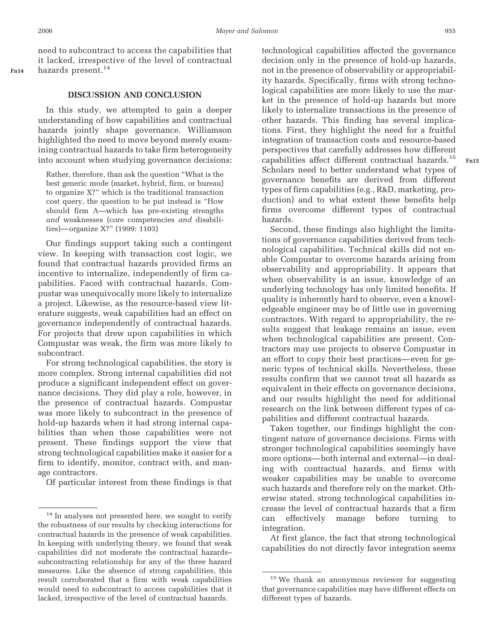**Fn14**

need to subcontract to access the capabilities that it lacked, irrespective of the level of contractual hazards present.<sup>14</sup>

# **DISCUSSION AND CONCLUSION**

In this study, we attempted to gain a deeper understanding of how capabilities and contractual hazards jointly shape governance. Williamson highlighted the need to move beyond merely examining contractual hazards to take firm heterogeneity into account when studying governance decisions:

Rather, therefore, than ask the question "What is the best generic mode (market, hybrid, firm, or bureau) to organize X?" which is the traditional transaction cost query, the question to be put instead is "How should firm A—which has pre-existing strengths *and* weaknesses (core competencies *and* disabilities)— organize X?" (1999: 1103)

Our findings support taking such a contingent view. In keeping with transaction cost logic, we found that contractual hazards provided firms an incentive to internalize, independently of firm capabilities. Faced with contractual hazards, Compustar was unequivocally more likely to internalize a project. Likewise, as the resource-based view literature suggests, weak capabilities had an effect on governance independently of contractual hazards. For projects that drew upon capabilities in which Compustar was weak, the firm was more likely to subcontract.

For strong technological capabilities, the story is more complex. Strong internal capabilities did not produce a significant independent effect on governance decisions. They did play a role, however, in the presence of contractual hazards. Compustar was more likely to subcontract in the presence of hold-up hazards when it had strong internal capabilities than when those capabilities were not present. These findings support the view that strong technological capabilities make it easier for a firm to identify, monitor, contract with, and manage contractors.

Of particular interest from these findings is that

technological capabilities affected the governance decision only in the presence of hold-up hazards, not in the presence of observability or appropriability hazards. Specifically, firms with strong technological capabilities are more likely to use the market in the presence of hold-up hazards but more likely to internalize transactions in the presence of other hazards. This finding has several implications. First, they highlight the need for a fruitful integration of transaction costs and resource-based perspectives that carefully addresses how different capabilities affect different contractual hazards.15 Scholars need to better understand what types of governance benefits are derived from different types of firm capabilities (e.g., R&D, marketing, production) and to what extent these benefits help firms overcome different types of contractual hazards.

Second, these findings also highlight the limitations of governance capabilities derived from technological capabilities. Technical skills did not enable Compustar to overcome hazards arising from observability and appropriability. It appears that when observability is an issue, knowledge of an underlying technology has only limited benefits. If quality is inherently hard to observe, even a knowledgeable engineer may be of little use in governing contractors. With regard to appropriability, the results suggest that leakage remains an issue, even when technological capabilities are present. Contractors may use projects to observe Compustar in an effort to copy their best practices— even for generic types of technical skills. Nevertheless, these results confirm that we cannot treat all hazards as equivalent in their effects on governance decisions, and our results highlight the need for additional research on the link between different types of capabilities and different contractual hazards.

Taken together, our findings highlight the contingent nature of governance decisions. Firms with stronger technological capabilities seemingly have more options— both internal and external—in dealing with contractual hazards, and firms with weaker capabilities may be unable to overcome such hazards and therefore rely on the market. Otherwise stated, strong technological capabilities increase the level of contractual hazards that a firm can effectively manage before turning to integration.

At first glance, the fact that strong technological capabilities do not directly favor integration seems

<sup>&</sup>lt;sup>14</sup> In analyses not presented here, we sought to verify the robustness of our results by checking interactions for contractual hazards in the presence of weak capabilities. In keeping with underlying theory, we found that weak capabilities did not moderate the contractual hazards– subcontracting relationship for any of the three hazard measures. Like the absence of strong capabilities, this result corroborated that a firm with weak capabilities would need to subcontract to access capabilities that it lacked, irrespective of the level of contractual hazards.

<sup>&</sup>lt;sup>15</sup> We thank an anonymous reviewer for suggesting that governance capabilities may have different effects on different types of hazards.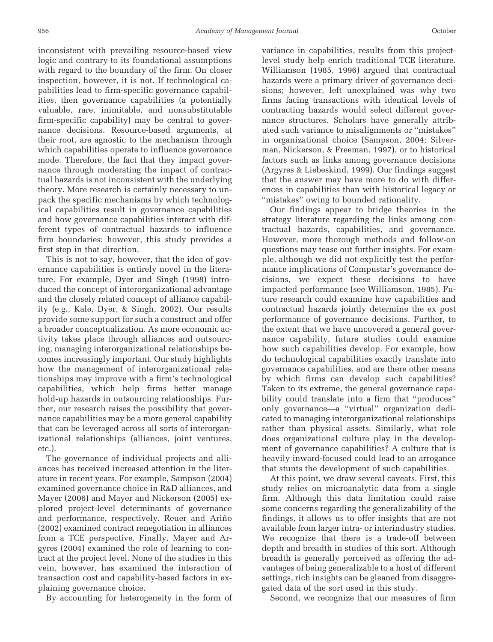inconsistent with prevailing resource-based view logic and contrary to its foundational assumptions with regard to the boundary of the firm. On closer inspection, however, it is not. If technological capabilities lead to firm-specific governance capabilities, then governance capabilities (a potentially valuable, rare, inimitable, and nonsubstitutable firm-specific capability) may be central to governance decisions. Resource-based arguments, at their root, are agnostic to the mechanism through which capabilities operate to influence governance mode. Therefore, the fact that they impact governance through moderating the impact of contractual hazards is not inconsistent with the underlying theory. More research is certainly necessary to unpack the specific mechanisms by which technological capabilities result in governance capabilities and how governance capabilities interact with different types of contractual hazards to influence firm boundaries; however, this study provides a first step in that direction.

This is not to say, however, that the idea of governance capabilities is entirely novel in the literature. For example, Dyer and Singh (1998) introduced the concept of interorganizational advantage and the closely related concept of alliance capability (e.g., Kale, Dyer, & Singh, 2002). Our results provide some support for such a construct and offer a broader conceptualization. As more economic activity takes place through alliances and outsourcing, managing interorganizational relationships becomes increasingly important. Our study highlights how the management of interorganizational relationships may improve with a firm's technological capabilities, which help firms better manage hold-up hazards in outsourcing relationships. Further, our research raises the possibility that governance capabilities may be a more general capability that can be leveraged across all sorts of interorganizational relationships (alliances, joint ventures, etc.).

The governance of individual projects and alliances has received increased attention in the literature in recent years. For example, Sampson (2004) examined governance choice in R&D alliances, and Mayer (2006) and Mayer and Nickerson (2005) explored project-level determinants of governance and performance, respectively. Reuer and Ariño (2002) examined contract renegotiation in alliances from a TCE perspective. Finally, Mayer and Argyres (2004) examined the role of learning to contract at the project level. None of the studies in this vein, however, has examined the interaction of transaction cost and capability-based factors in explaining governance choice.

By accounting for heterogeneity in the form of

variance in capabilities, results from this projectlevel study help enrich traditional TCE literature. Williamson (1985, 1996) argued that contractual hazards were a primary driver of governance decisions; however, left unexplained was why two firms facing transactions with identical levels of contracting hazards would select different governance structures. Scholars have generally attributed such variance to misalignments or "mistakes" in organizational choice (Sampson, 2004; Silverman, Nickerson, & Freeman, 1997), or to historical factors such as links among governance decisions (Argyres & Liebeskind, 1999). Our findings suggest that the answer may have more to do with differences in capabilities than with historical legacy or "mistakes" owing to bounded rationality.

Our findings appear to bridge theories in the strategy literature regarding the links among contractual hazards, capabilities, and governance. However, more thorough methods and follow-on questions may tease out further insights. For example, although we did not explicitly test the performance implications of Compustar's governance decisions, we expect these decisions to have impacted performance (see Williamson, 1985). Future research could examine how capabilities and contractual hazards jointly determine the ex post performance of governance decisions. Further, to the extent that we have uncovered a general governance capability, future studies could examine how such capabilities develop. For example, how do technological capabilities exactly translate into governance capabilities, and are there other means by which firms can develop such capabilities? Taken to its extreme, the general governance capability could translate into a firm that "produces" only governance—a "virtual" organization dedicated to managing interorganizational relationships rather than physical assets. Similarly, what role does organizational culture play in the development of governance capabilities? A culture that is heavily inward-focused could lead to an arrogance that stunts the development of such capabilities.

At this point, we draw several caveats. First, this study relies on microanalytic data from a single firm. Although this data limitation could raise some concerns regarding the generalizability of the findings, it allows us to offer insights that are not available from larger intra- or interindustry studies. We recognize that there is a trade-off between depth and breadth in studies of this sort. Although breadth is generally perceived as offering the advantages of being generalizable to a host of different settings, rich insights can be gleaned from disaggregated data of the sort used in this study.

Second, we recognize that our measures of firm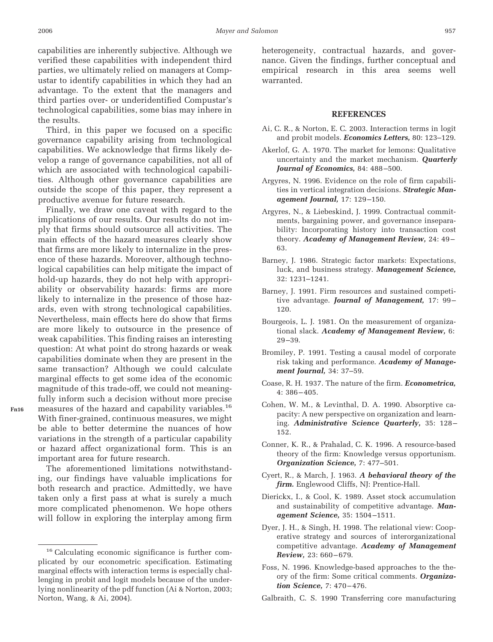capabilities are inherently subjective. Although we verified these capabilities with independent third parties, we ultimately relied on managers at Compustar to identify capabilities in which they had an advantage. To the extent that the managers and third parties over- or underidentified Compustar's technological capabilities, some bias may inhere in the results.

Third, in this paper we focused on a specific governance capability arising from technological capabilities. We acknowledge that firms likely develop a range of governance capabilities, not all of which are associated with technological capabilities. Although other governance capabilities are outside the scope of this paper, they represent a productive avenue for future research.

Finally, we draw one caveat with regard to the implications of our results. Our results do not imply that firms should outsource all activities. The main effects of the hazard measures clearly show that firms are more likely to internalize in the presence of these hazards. Moreover, although technological capabilities can help mitigate the impact of hold-up hazards, they do not help with appropriability or observability hazards: firms are more likely to internalize in the presence of those hazards, even with strong technological capabilities. Nevertheless, main effects here do show that firms are more likely to outsource in the presence of weak capabilities. This finding raises an interesting question: At what point do strong hazards or weak capabilities dominate when they are present in the same transaction? Although we could calculate marginal effects to get some idea of the economic magnitude of this trade-off, we could not meaningfully inform such a decision without more precise measures of the hazard and capability variables.<sup>16</sup> With finer-grained, continuous measures, we might be able to better determine the nuances of how variations in the strength of a particular capability or hazard affect organizational form. This is an

The aforementioned limitations notwithstanding, our findings have valuable implications for both research and practice. Admittedly, we have taken only a first pass at what is surely a much more complicated phenomenon. We hope others will follow in exploring the interplay among firm

important area for future research.

**Fn16**

heterogeneity, contractual hazards, and governance. Given the findings, further conceptual and empirical research in this area seems well warranted.

#### **REFERENCES**

- Ai, C. R., & Norton, E. C. 2003. Interaction terms in logit and probit models. *Economics Letters,* 80: 123–129.
- Akerlof, G. A. 1970. The market for lemons: Qualitative uncertainty and the market mechanism. *Quarterly Journal of Economics,* 84: 488 –500.
- Argyres, N. 1996. Evidence on the role of firm capabilities in vertical integration decisions. *Strategic Management Journal,* 17: 129 –150.
- Argyres, N., & Liebeskind, J. 1999. Contractual commitments, bargaining power, and governance inseparability: Incorporating history into transaction cost theory. *Academy of Management Review,* 24: 49 – 63.
- Barney, J. 1986. Strategic factor markets: Expectations, luck, and business strategy. *Management Science,* 32: 1231–1241.
- Barney, J. 1991. Firm resources and sustained competitive advantage. *Journal of Management,* 17: 99 – 120.
- Bourgeois, L. J. 1981. On the measurement of organizational slack. *Academy of Management Review,* 6: 29 –39.
- Bromiley, P. 1991. Testing a causal model of corporate risk taking and performance. *Academy of Management Journal,* 34: 37–59.
- Coase, R. H. 1937. The nature of the firm. *Econometrica,* 4: 386 – 405.
- Cohen, W. M., & Levinthal, D. A. 1990. Absorptive capacity: A new perspective on organization and learning. *Administrative Science Quarterly,* 35: 128 – 152.
- Conner, K. R., & Prahalad, C. K. 1996. A resource-based theory of the firm: Knowledge versus opportunism. *Organization Science,* 7: 477–501.
- Cyert, R., & March, J. 1963. *A behavioral theory of the firm.* Englewood Cliffs, NJ: Prentice-Hall.
- Dierickx, I., & Cool, K. 1989. Asset stock accumulation and sustainability of competitive advantage. *Management Science,* 35: 1504 –1511.
- Dyer, J. H., & Singh, H. 1998. The relational view: Cooperative strategy and sources of interorganizational competitive advantage. *Academy of Management Review, 23: 660-679.*
- Foss, N. 1996. Knowledge-based approaches to the theory of the firm: Some critical comments. *Organization Science, 7: 470-476.*

<sup>16</sup> Calculating economic significance is further complicated by our econometric specification. Estimating marginal effects with interaction terms is especially challenging in probit and logit models because of the underlying nonlinearity of the pdf function (Ai & Norton, 2003; Norton, Wang, & Ai, 2004).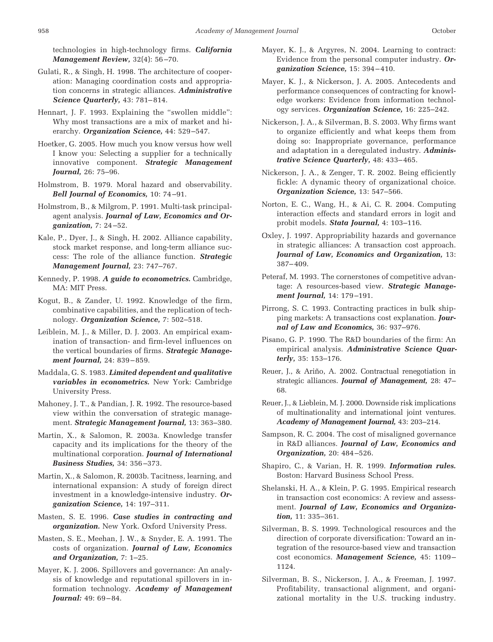technologies in high-technology firms. *California Management Review,* 32(4): 56 –70.

- Gulati, R., & Singh, H. 1998. The architecture of cooperation: Managing coordination costs and appropriation concerns in strategic alliances. *Administrative Science Quarterly, 43: 781-814.*
- Hennart, J. F. 1993. Explaining the "swollen middle": Why most transactions are a mix of market and hierarchy. *Organization Science,* 44: 529 –547.
- Hoetker, G. 2005. How much you know versus how well I know you: Selecting a supplier for a technically innovative component. *Strategic Management Journal,* 26: 75–96.
- Holmstrom, B. 1979. Moral hazard and observability. *Bell Journal of Economics,* 10: 74 –91.
- Holmstrom, B., & Milgrom, P. 1991. Multi-task principalagent analysis. *Journal of Law, Economics and Organization,* 7: 24 –52.
- Kale, P., Dyer, J., & Singh, H. 2002. Alliance capability, stock market response, and long-term alliance success: The role of the alliance function. *Strategic Management Journal,* 23: 747–767.
- Kennedy, P. 1998. *A guide to econometrics.* Cambridge, MA: MIT Press.
- Kogut, B., & Zander, U. 1992. Knowledge of the firm, combinative capabilities, and the replication of technology. *Organization Science,* 7: 502–518.
- Leiblein, M. J., & Miller, D. J. 2003. An empirical examination of transaction- and firm-level influences on the vertical boundaries of firms. *Strategic Management Journal,* 24: 839 – 859.
- Maddala, G. S. 1983. *Limited dependent and qualitative variables in econometrics.* New York: Cambridge University Press.
- Mahoney, J. T., & Pandian, J. R. 1992. The resource-based view within the conversation of strategic management. *Strategic Management Journal,* 13: 363–380.
- Martin, X., & Salomon, R. 2003a. Knowledge transfer capacity and its implications for the theory of the multinational corporation. *Journal of International Business Studies,* 34: 356 –373.
- Martin, X., & Salomon, R. 2003b. Tacitness, learning, and international expansion: A study of foreign direct investment in a knowledge-intensive industry. *Organization Science,* 14: 197–311.
- Masten, S. E. 1996. *Case studies in contracting and organization.* New York. Oxford University Press.
- Masten, S. E., Meehan, J. W., & Snyder, E. A. 1991. The costs of organization. *Journal of Law, Economics and Organization,* 7: 1–25.
- Mayer, K. J. 2006. Spillovers and governance: An analysis of knowledge and reputational spillovers in information technology. *Academy of Management Journal:* 49: 69-84.
- Mayer, K. J., & Argyres, N. 2004. Learning to contract: Evidence from the personal computer industry. *Organization Science,* 15: 394 – 410.
- Mayer, K. J., & Nickerson, J. A. 2005. Antecedents and performance consequences of contracting for knowledge workers: Evidence from information technology services. *Organization Science,* 16: 225–242.
- Nickerson, J. A., & Silverman, B. S. 2003. Why firms want to organize efficiently and what keeps them from doing so: Inappropriate governance, performance and adaptation in a deregulated industry. *Administrative Science Quarterly,* 48: 433– 465.
- Nickerson, J. A., & Zenger, T. R. 2002. Being efficiently fickle: A dynamic theory of organizational choice. *Organization Science,* 13: 547–566.
- Norton, E. C., Wang, H., & Ai, C. R. 2004. Computing interaction effects and standard errors in logit and probit models. *Stata Journal,* 4: 103–116.
- Oxley, J. 1997. Appropriability hazards and governance in strategic alliances: A transaction cost approach. *Journal of Law, Economics and Organization,* 13: 387– 409.
- Peteraf, M. 1993. The cornerstones of competitive advantage: A resources-based view. *Strategic Management Journal,* 14: 179 –191.
- Pirrong, S. C. 1993. Contracting practices in bulk shipping markets: A transactions cost explanation. *Journal of Law and Economics,* 36: 937–976.
- Pisano, G. P. 1990. The R&D boundaries of the firm: An empirical analysis. *Administrative Science Quarterly,* 35: 153–176.
- Reuer, J., & Ariño, A. 2002. Contractual renegotiation in strategic alliances. *Journal of Management,* 28: 47– 68.
- Reuer, J., & Lieblein, M. J. 2000. Downside risk implications of multinationality and international joint ventures. *Academy of Management Journal,* 43: 203–214.
- Sampson, R. C. 2004. The cost of misaligned governance in R&D alliances. *Journal of Law, Economics and Organization,* 20: 484 –526.
- Shapiro, C., & Varian, H. R. 1999. *Information rules.* Boston: Harvard Business School Press.
- Shelanski, H. A., & Klein, P. G. 1995. Empirical research in transaction cost economics: A review and assessment. *Journal of Law, Economics and Organization,* 11: 335–361.
- Silverman, B. S. 1999. Technological resources and the direction of corporate diversification: Toward an integration of the resource-based view and transaction cost economics. *Management Science,* 45: 1109 – 1124.
- Silverman, B. S., Nickerson, J. A., & Freeman, J. 1997. Profitability, transactional alignment, and organizational mortality in the U.S. trucking industry.